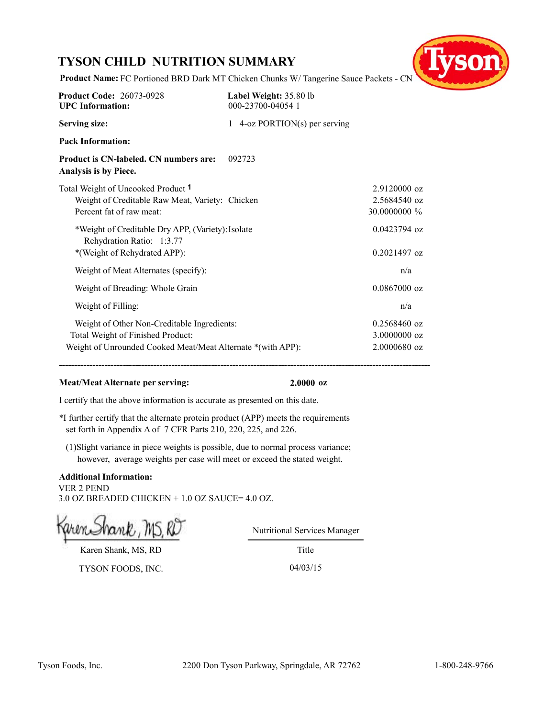## **TYSON CHILD NUTRITION SUMMARY**



**Product Name:** FC Portioned BRD Dark MT Chicken Chunks W/ Tangerine Sauce Packets - CN

| <b>Product Code: 26073-0928</b><br><b>UPC</b> Information:                                                                                      | Label Weight: 35.80 lb<br>000-23700-04054 1 |                                                  |
|-------------------------------------------------------------------------------------------------------------------------------------------------|---------------------------------------------|--------------------------------------------------|
| <b>Serving size:</b>                                                                                                                            | 1 4-oz PORTION(s) per serving               |                                                  |
| <b>Pack Information:</b>                                                                                                                        |                                             |                                                  |
| Product is CN-labeled. CN numbers are:<br>Analysis is by Piece.                                                                                 | 092723                                      |                                                  |
| Total Weight of Uncooked Product 1<br>Weight of Creditable Raw Meat, Variety: Chicken<br>Percent fat of raw meat:                               |                                             | 2.9120000 oz<br>2.5684540 oz<br>30.0000000 %     |
| *Weight of Creditable Dry APP, (Variety): Isolate<br>Rehydration Ratio: 1:3.77<br>*(Weight of Rehydrated APP):                                  |                                             | $0.0423794$ oz<br>$0.2021497$ oz                 |
| Weight of Meat Alternates (specify):                                                                                                            |                                             | n/a                                              |
| Weight of Breading: Whole Grain                                                                                                                 |                                             | $0.0867000$ oz                                   |
| Weight of Filling:                                                                                                                              |                                             | n/a                                              |
| Weight of Other Non-Creditable Ingredients:<br>Total Weight of Finished Product:<br>Weight of Unrounded Cooked Meat/Meat Alternate *(with APP): |                                             | $0.2568460$ oz<br>$3.0000000$ oz<br>2.0000680 oz |

**--------------------------------------------------------------------------------------------------------------------------**

## **Meat/Meat Alternate per serving: 2.0000 oz**

I certify that the above information is accurate as presented on this date.

\*I further certify that the alternate protein product (APP) meets the requirements set forth in Appendix A of 7 CFR Parts 210, 220, 225, and 226.

(1)Slight variance in piece weights is possible, due to normal process variance; however, average weights per case will meet or exceed the stated weight.

### **Additional Information:** VER 2 PEND 3.0 OZ BREADED CHICKEN + 1.0 OZ SAUCE= 4.0 OZ.

Nutritional Services Manager

Karen Shank, MS, RD

TYSON FOODS, INC. 04/03/15

Title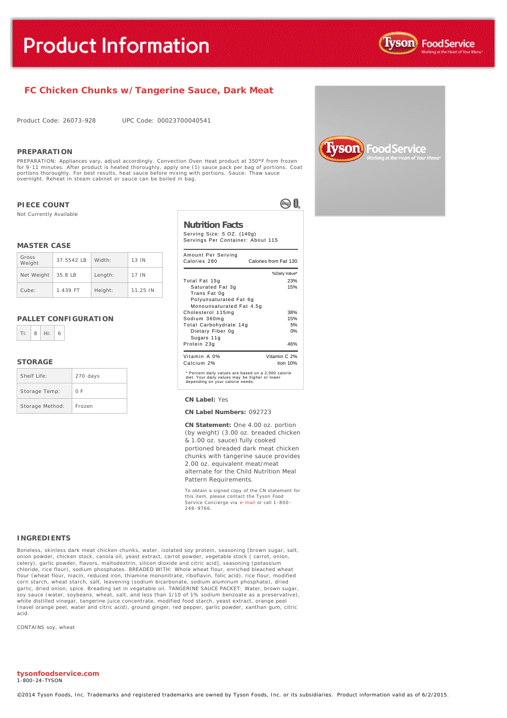

## **FC Chicken Chunks w/Tangerine Sauce, Dark Meat**

Product Code: 26073-928 UPC Code: 00023700040541

#### **PREPARATION**

PREPARATION: Appliances vary, adjust accordingly. Convection Oven Heat product at 350°F from frozen<br>for 9-11 minutes. After product is heated thoroughly, apply one (1) sauce pack per bag of portions. Co. for 9-11 minutes. After product is heated thoroughly, apply one (1) sauce pack per bag of portions. Coat<br>portions thoroughly. For best results, heat sauce before mixing with portions. Sauce: Thaw sauce<br>overnight. Reheat in

#### **PIECE COUNT**

Not Currently Available

#### **MASTER CASE**

| Gross<br>Weight | 37.5542 IB | Width:  | 13 IN    |
|-----------------|------------|---------|----------|
| Net Weight      | 35.8 LB    | Length: | 17 IN    |
| Cube:           | 1.439 FT   | Height: | 11.25 IN |

#### **PALLET CONFIGURATION**



#### **STORAGE**

| Shelf Life:     | 270 days |
|-----------------|----------|
| Storage Temp:   | 0 F      |
| Storage Method: | Frozen   |

#### **Nutrition Facts**

Serving Size: 5 OZ. (140g) Servings Per Container: About 115

®0.

| Amount Per Serving<br>Calories 280                                                                                                        | Calories from Fat 130 |
|-------------------------------------------------------------------------------------------------------------------------------------------|-----------------------|
|                                                                                                                                           | % Daily Value*        |
| Total Fat 15q                                                                                                                             | 23%                   |
| Saturated Fat 3g                                                                                                                          | 15%                   |
| Trans Fat 0g                                                                                                                              |                       |
| Polyunsaturated Fat 6q                                                                                                                    |                       |
| Monounsaturated Fat 4.5q                                                                                                                  |                       |
| Cholesterol 115mg                                                                                                                         | 38%                   |
| Sodium 360mg                                                                                                                              | 15%                   |
| Total Carbohydrate 14q                                                                                                                    | 5%                    |
| Dietary Fiber 0g                                                                                                                          | 0%                    |
| Sugars 11g                                                                                                                                |                       |
| Protein 23g                                                                                                                               | 46%                   |
| Vitamin A 0%                                                                                                                              | Vitamin C 2%          |
| Calcium 2%                                                                                                                                | Iron $10%$            |
| * Percent daily values are based on a 2,000 calorie<br>diet. Your daily values may be higher or lower<br>depending on your calorie needs. |                       |

#### **CN Label:** Yes

#### **CN Label Numbers:** 092723

**CN Statement:** One 4.00 oz. portion (by weight) (3.00 oz. breaded chicken & 1.00 oz. sauce) fully cooked portioned breaded dark meat chicken chunks with tangerine sauce provides 2.00 oz. equivalent meat/meat alternate for the Child Nutrition Meal Pattern Requirements.

To obtain a signed copy of the CN statement for this item, please contact the Tyson Food Service Concierge via [e-mail](mailto:fscomments@tyson.com) or call 1-800 - 248 -9766.

#### **INGREDIENTS**

Boneless, skinless dark meat chicken chunks, water, isolated soy protein, seasoning [brown sugar, salt, onion powder, chicken stock, canola oil, yeast extract, carrot powder, vegetable stock ( carrot, onion, celery), garlic powder, flavors, maltodextrin, silicon dioxide and citric acid], seasoning (potassium chloride, rice flour), sodium phosphates. BREADED WITH: Whole wheat flour, enriched bleached wheat flour (wheat flour, niacin, reduced iron, thiamine mononitrate, riboflavin, folic acid), rice flour, modified corn starch, wheat starch, salt, leavening (sodium bicarbonate, sodium aluminum phosphate), dried garlic, dried onion, spice. Breading set in vegetable oil. TANGERINE SAUCE PACKET: Water, brown suga soy sauce (water, soybeans, wheat, salt, and less than 1/10 of 1% sodium benzoate as a preservative), white distilled vinegar, tangerine juice concentrate, modified food starch, yeast extract, orange peel (navel orange peel, water and citric acid), ground ginger, red pepper, garlic powder, xanthan gum, citric acid.

CONTAINS soy, wheat

**tysonfoodservice.com** 1-800-24-TYSON

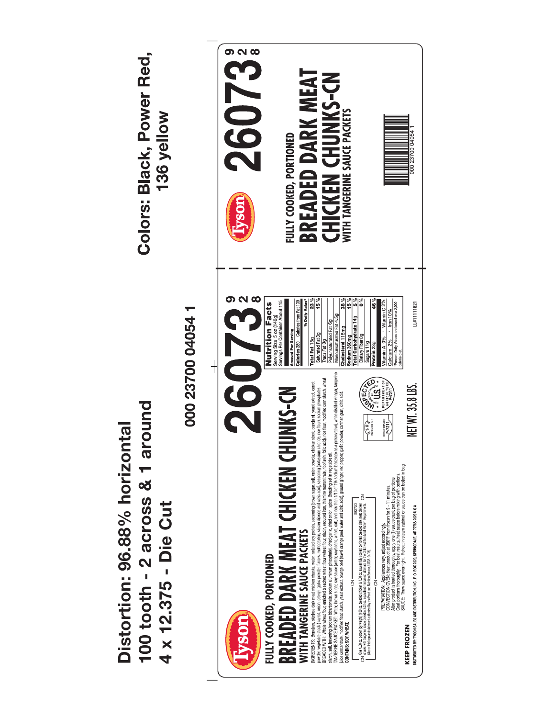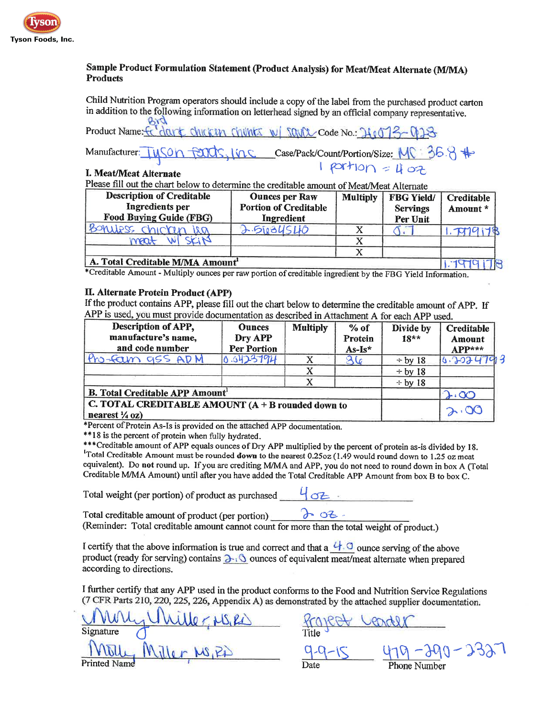

## Sample Product Formulation Statement (Product Analysis) for Meat/Meat Alternate (M/MA) **Products**

Child Nutrition Program operators should include a copy of the label from the purchased product carton in addition to the following information on letterhead signed by an official company representative.  $810$ 

Product Name: fo dant chicken chunts w/ Sayou Code No.: 26073-0123  $\frac{1}{1}$  Case/Pack/Count/Portion/Size:  $\frac{M}{3}$ 6.8  $\frac{4}{3}$ Manufacturer:

## I. Meat/Meat Alternate

Please fill out the chart below to determine the creditable amount of Meat/Meat Alternate

| <b>Description of Creditable</b><br>Ingredients per<br><b>Food Buying Guide (FBG)</b> | <b>Ounces per Raw</b><br><b>Portion of Creditable</b><br>Ingredient | <b>Multiply</b> | <b>FBG Yield/</b><br><b>Servings</b><br>Per Unit | Creditable<br>Amount * |
|---------------------------------------------------------------------------------------|---------------------------------------------------------------------|-----------------|--------------------------------------------------|------------------------|
| Bonuess chicken isa                                                                   | $3.510$ 34540                                                       |                 |                                                  | 1.7019178              |
| maat                                                                                  |                                                                     |                 |                                                  |                        |
|                                                                                       |                                                                     |                 |                                                  |                        |
| A. Total Creditable M/MA Amount <sup>1</sup>                                          |                                                                     |                 |                                                  | G                      |

\*Creditable Amount - Multiply ounces per raw portion of creditable ingredient by the FBG Yield Information.

## II. Alternate Protein Product (APP)

If the product contains APP, please fill out the chart below to determine the creditable amount of APP. If APP is used, you must provide documentation as described in Attachment A for each APP used.

| Description of APP,<br>manufacture's name,<br>and code number                    | <b>Ounces</b><br>Dry APP<br><b>Per Portion</b> | <b>Multiply</b> | $%$ of<br>Protein<br>$As-Is*$ | Divide by<br>$18**$ | <b>Creditable</b><br><b>Amount</b><br>$APP***$ |
|----------------------------------------------------------------------------------|------------------------------------------------|-----------------|-------------------------------|---------------------|------------------------------------------------|
| Pro-fam gss ADM                                                                  | 0.0423794                                      |                 |                               | $\div$ by 18        | . 2024793                                      |
|                                                                                  |                                                |                 |                               | $\div$ by 18        |                                                |
|                                                                                  |                                                | v               |                               | $\div$ by 18        |                                                |
| <b>B. Total Creditable APP Amount'</b>                                           |                                                |                 |                               |                     | $\overline{O}$                                 |
| C. TOTAL CREDITABLE AMOUNT $(A + B$ rounded down to<br>nearest $\frac{1}{4}$ oz) |                                                |                 |                               |                     |                                                |

\*Percent of Protein As-Is is provided on the attached APP documentation.

\*\*18 is the percent of protein when fully hydrated.

\*\*\* Creditable amount of APP equals ounces of Dry APP multiplied by the percent of protein as-is divided by 18. <sup>1</sup>Total Creditable Amount must be rounded down to the nearest 0.25oz (1.49 would round down to 1.25 oz meat equivalent). Do not round up. If you are crediting M/MA and APP, you do not need to round down in box A (Total Creditable M/MA Amount) until after you have added the Total Creditable APP Amount from box B to box C.

Total weight (per portion) of product as purchased

Total creditable amount of product (per portion)  $202 -$ (Reminder: Total creditable amount cannot count for more than the total weight of product.)

I certify that the above information is true and correct and that a  $\frac{1}{2}$  ounce serving of the above product (ready for serving) contains  $\lambda_i$  ounces of equivalent meat/meat alternate when prepared according to directions.

I further certify that any APP used in the product conforms to the Food and Nutrition Service Regulations (7 CFR Parts 210, 220, 225, 226, Appendix A) as demonstrated by the attached supplier documentation.

Signature **Printed Nam** 

fraject Leade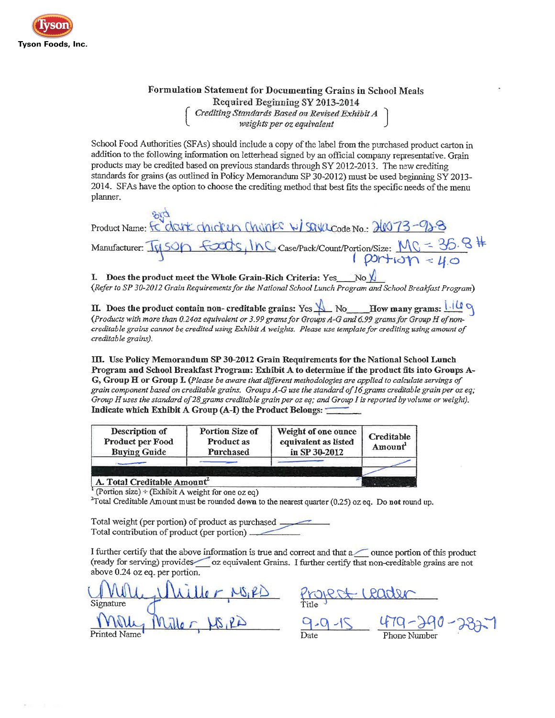

# Formulation Statement for Documenting Grains in School Meals Required Beginning SY 2013-2014<br>Crediting Standards Based on Revised Exhibit A<br>weights per oz equivalent

School Food Authorities (SFAs) should include a copy of the label from the purchased product carton in addition to the following information on letterhead signed by an official company representative. Grain products may be credited based on previous standards through SY 2012-2013. The new crediting standards for grains (as outlined in Policy Memorandum SP 30-2012) must be used beginning SY 2013-2014. SFAs have the option to choose the crediting method that best fits the specific needs of the menu planner.

Product Name: FC drunk chicken Chanks W/ SQUacode No. 20073-92-8  $\frac{f \cdot \text{cos}(1)}{f}$  Case/Pack/Count/Portion/Size:  $\frac{M_C - 35.8}{M}$ Manufacturer: 14500

I. Does the product meet the Whole Grain-Rich Criteria: Yes (Refer to SP 30-2012 Grain Requirements for the National School Lunch Program and School Breakfast Program)

II. Does the product contain non-creditable grains: Yes  $\bigcup_{N \in \mathbb{Z}} N_0$  How many grams:  $\frac{|\cdot| \cdot | \cdot|}{\sqrt{N}}$  (Products with more than 0.240z equivalent or 3.99 grams for Groups A-G and 6.99 grams for Group H of noncreditable grains cannot be credited using Exhibit A weights. Please use template for crediting using amount of creditable grains).

III. Use Policy Memorandum SP 30-2012 Grain Requirements for the National School Lunch Program and School Breakfast Program: Exhibit A to determine if the product fits into Groups A-G, Group H or Group I. (Please be aware that different methodologies are applied to calculate servings of grain component based on creditable grains. Groups A-G use the standard of 16 grams creditable grain per oz eq; Group H uses the standard of 28 grams creditable grain per oz eq; and Group I is reported by volume or weight). Indicate which Exhibit A Group (A-I) the Product Belongs:

| Description of<br>Product per Food<br><b>Buying Guide</b> | Portion Size of<br><b>Product as</b><br>Purchased | Weight of one ounce<br>equivalent as listed<br>in SP 30-2012 | Creditable<br>Amount |
|-----------------------------------------------------------|---------------------------------------------------|--------------------------------------------------------------|----------------------|
| A. Total Creditable Amount                                |                                                   |                                                              |                      |

<sup>1</sup> (Portion size) ÷ (Exhibit A weight for one oz eq)

 $2T$ otal Creditable Amount must be rounded down to the nearest quarter (0.25) oz eq. Do not round up.

Total weight (per portion) of product as purchased Total contribution of product (per portion)

I further certify that the above information is true and correct and that a women portion of this product (ready for serving) provides oz equivalent Grains. I further certify that non-creditable grains are not above 0.24 oz eq. per portion.

Signature Printed Name

MS, PD Project Leader